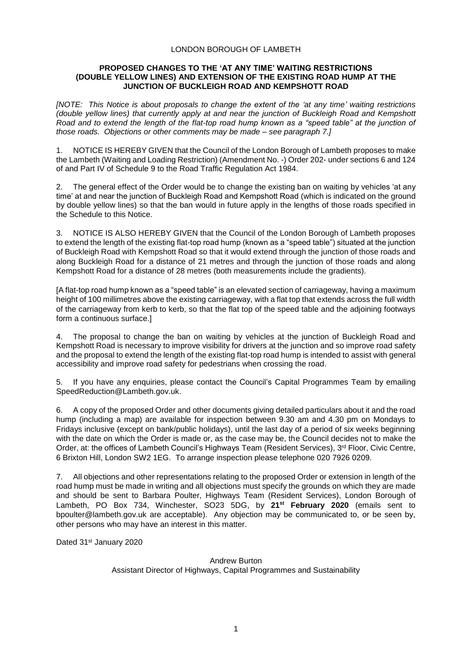## LONDON BOROUGH OF LAMBETH

## **PROPOSED CHANGES TO THE 'AT ANY TIME' WAITING RESTRICTIONS (DOUBLE YELLOW LINES) AND EXTENSION OF THE EXISTING ROAD HUMP AT THE JUNCTION OF BUCKLEIGH ROAD AND KEMPSHOTT ROAD**

*[NOTE: This Notice is about proposals to change the extent of the 'at any time' waiting restrictions (double yellow lines) that currently apply at and near the junction of Buckleigh Road and Kempshott Road and to extend the length of the flat-top road hump known as a "speed table" at the junction of those roads. Objections or other comments may be made – see paragraph 7.]*

1. NOTICE IS HEREBY GIVEN that the Council of the London Borough of Lambeth proposes to make the Lambeth (Waiting and Loading Restriction) (Amendment No. -) Order 202- under sections 6 and 124 of and Part IV of Schedule 9 to the Road Traffic Regulation Act 1984.

2. The general effect of the Order would be to change the existing ban on waiting by vehicles 'at any time' at and near the junction of Buckleigh Road and Kempshott Road (which is indicated on the ground by double yellow lines) so that the ban would in future apply in the lengths of those roads specified in the Schedule to this Notice.

3. NOTICE IS ALSO HEREBY GIVEN that the Council of the London Borough of Lambeth proposes to extend the length of the existing flat-top road hump (known as a "speed table") situated at the junction of Buckleigh Road with Kempshott Road so that it would extend through the junction of those roads and along Buckleigh Road for a distance of 21 metres and through the junction of those roads and along Kempshott Road for a distance of 28 metres (both measurements include the gradients).

[A flat-top road hump known as a "speed table" is an elevated section of carriageway, having a maximum height of 100 millimetres above the existing carriageway, with a flat top that extends across the full width of the carriageway from kerb to kerb, so that the flat top of the speed table and the adjoining footways form a continuous surface.]

4. The proposal to change the ban on waiting by vehicles at the junction of Buckleigh Road and Kempshott Road is necessary to improve visibility for drivers at the junction and so improve road safety and the proposal to extend the length of the existing flat-top road hump is intended to assist with general accessibility and improve road safety for pedestrians when crossing the road.

5. If you have any enquiries, please contact the Council's Capital Programmes Team by emailing [SpeedReduction@Lambeth.gov.uk.](mailto:SpeedReduction@Lambeth.gov.uk)

6. A copy of the proposed Order and other documents giving detailed particulars about it and the road hump (including a map) are available for inspection between 9.30 am and 4.30 pm on Mondays to Fridays inclusive (except on bank/public holidays), until the last day of a period of six weeks beginning with the date on which the Order is made or, as the case may be, the Council decides not to make the Order, at: the offices of Lambeth Council's Highways Team (Resident Services), 3<sup>rd</sup> Floor, Civic Centre, 6 Brixton Hill, London SW2 1EG. To arrange inspection please telephone 020 7926 0209.

7. All objections and other representations relating to the proposed Order or extension in length of the road hump must be made in writing and all objections must specify the grounds on which they are made and should be sent to Barbara Poulter, Highways Team (Resident Services), London Borough of Lambeth, PO Box 734, Winchester, SO23 5DG, by **21st February 2020** (emails sent to [bpoulter@lambeth.gov.uk](mailto:bpoulter@lambeth.gov.uk) are acceptable). Any objection may be communicated to, or be seen by, other persons who may have an interest in this matter.

Dated 31st January 2020

Andrew Burton Assistant Director of Highways, Capital Programmes and Sustainability